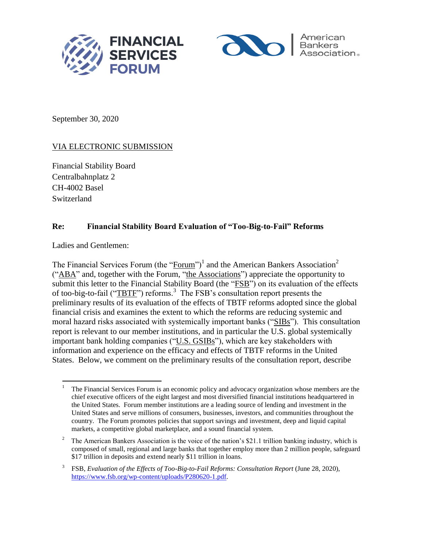



September 30, 2020

# VIA ELECTRONIC SUBMISSION

Financial Stability Board Centralbahnplatz 2 CH-4002 Basel Switzerland

# **Re: Financial Stability Board Evaluation of "Too-Big-to-Fail" Reforms**

Ladies and Gentlemen:

The Financial Services Forum (the "Forum")<sup>1</sup> and the American Bankers Association<sup>2</sup> ("ABA" and, together with the Forum, "the Associations") appreciate the opportunity to submit this letter to the Financial Stability Board (the "FSB") on its evaluation of the effects of too-big-to-fail (" $TBTF$ ") reforms.<sup>3</sup> The FSB's consultation report presents the preliminary results of its evaluation of the effects of TBTF reforms adopted since the global financial crisis and examines the extent to which the reforms are reducing systemic and moral hazard risks associated with systemically important banks ("SIBs"). This consultation report is relevant to our member institutions, and in particular the U.S. global systemically important bank holding companies ("U.S. GSIBs"), which are key stakeholders with information and experience on the efficacy and effects of TBTF reforms in the United States. Below, we comment on the preliminary results of the consultation report, describe

 $\overline{a}$ <sup>1</sup> The Financial Services Forum is an economic policy and advocacy organization whose members are the chief executive officers of the eight largest and most diversified financial institutions headquartered in the United States. Forum member institutions are a leading source of lending and investment in the United States and serve millions of consumers, businesses, investors, and communities throughout the country. The Forum promotes policies that support savings and investment, deep and liquid capital markets, a competitive global marketplace, and a sound financial system.

<sup>2</sup> The American Bankers Association is the voice of the nation's \$21.1 trillion banking industry, which is composed of small, regional and large banks that together employ more than 2 million people, safeguard \$17 trillion in deposits and extend nearly \$11 trillion in loans.

<sup>3</sup> FSB, *Evaluation of the Effects of Too-Big-to-Fail Reforms: Consultation Report* (June 28, 2020), https://www.fsb.org/wp-content/uploads/P280620-1.pdf.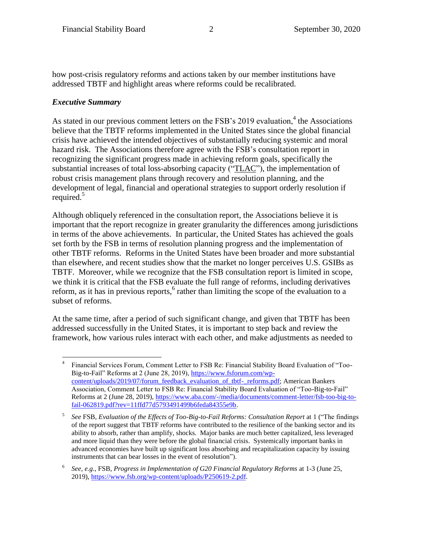how post-crisis regulatory reforms and actions taken by our member institutions have addressed TBTF and highlight areas where reforms could be recalibrated.

### *Executive Summary*

As stated in our previous comment letters on the FSB's 2019 evaluation,<sup>4</sup> the Associations believe that the TBTF reforms implemented in the United States since the global financial crisis have achieved the intended objectives of substantially reducing systemic and moral hazard risk. The Associations therefore agree with the FSB's consultation report in recognizing the significant progress made in achieving reform goals, specifically the substantial increases of total loss-absorbing capacity ("TLAC"), the implementation of robust crisis management plans through recovery and resolution planning, and the development of legal, financial and operational strategies to support orderly resolution if required. 5

Although obliquely referenced in the consultation report, the Associations believe it is important that the report recognize in greater granularity the differences among jurisdictions in terms of the above achievements. In particular, the United States has achieved the goals set forth by the FSB in terms of resolution planning progress and the implementation of other TBTF reforms. Reforms in the United States have been broader and more substantial than elsewhere, and recent studies show that the market no longer perceives U.S. GSIBs as TBTF. Moreover, while we recognize that the FSB consultation report is limited in scope, we think it is critical that the FSB evaluate the full range of reforms, including derivatives reform, as it has in previous reports,<sup>6</sup> rather than limiting the scope of the evaluation to a subset of reforms.

At the same time, after a period of such significant change, and given that TBTF has been addressed successfully in the United States, it is important to step back and review the framework, how various rules interact with each other, and make adjustments as needed to

 $\overline{a}$ 4 Financial Services Forum, Comment Letter to FSB Re: Financial Stability Board Evaluation of "Too-Big-to-Fail" Reforms at 2 (June 28, 2019), https://www.fsforum.com/wpcontent/uploads/2019/07/forum\_feedback\_evaluation\_of\_tbtf-\_reforms.pdf; American Bankers Association, Comment Letter to FSB Re: Financial Stability Board Evaluation of "Too-Big-to-Fail" Reforms at 2 (June 28, 2019), https://www.aba.com/-/media/documents/comment-letter/fsb-too-big-tofail-062819.pdf?rev=11ffd77d5793491499b6feda84355e9b.

<sup>5</sup> *See* FSB, *Evaluation of the Effects of Too-Big-to-Fail Reforms: Consultation Report* at 1 ("The findings of the report suggest that TBTF reforms have contributed to the resilience of the banking sector and its ability to absorb, rather than amplify, shocks. Major banks are much better capitalized, less leveraged and more liquid than they were before the global financial crisis. Systemically important banks in advanced economies have built up significant loss absorbing and recapitalization capacity by issuing instruments that can bear losses in the event of resolution").

<sup>6</sup> *See, e.g.*, FSB, *Progress in Implementation of G20 Financial Regulatory Reforms* at 1-3 (June 25, 2019), https://www.fsb.org/wp-content/uploads/P250619-2.pdf.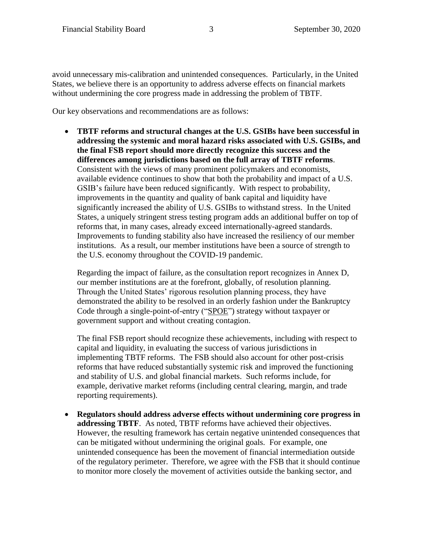avoid unnecessary mis-calibration and unintended consequences. Particularly, in the United States, we believe there is an opportunity to address adverse effects on financial markets without undermining the core progress made in addressing the problem of TBTF.

Our key observations and recommendations are as follows:

 **TBTF reforms and structural changes at the U.S. GSIBs have been successful in addressing the systemic and moral hazard risks associated with U.S. GSIBs, and the final FSB report should more directly recognize this success and the differences among jurisdictions based on the full array of TBTF reforms**. Consistent with the views of many prominent policymakers and economists, available evidence continues to show that both the probability and impact of a U.S. GSIB's failure have been reduced significantly. With respect to probability, improvements in the quantity and quality of bank capital and liquidity have significantly increased the ability of U.S. GSIBs to withstand stress. In the United States, a uniquely stringent stress testing program adds an additional buffer on top of reforms that, in many cases, already exceed internationally-agreed standards. Improvements to funding stability also have increased the resiliency of our member institutions. As a result, our member institutions have been a source of strength to the U.S. economy throughout the COVID-19 pandemic.

Regarding the impact of failure, as the consultation report recognizes in Annex D, our member institutions are at the forefront, globally, of resolution planning. Through the United States' rigorous resolution planning process, they have demonstrated the ability to be resolved in an orderly fashion under the Bankruptcy Code through a single-point-of-entry ("SPOE") strategy without taxpayer or government support and without creating contagion.

The final FSB report should recognize these achievements, including with respect to capital and liquidity, in evaluating the success of various jurisdictions in implementing TBTF reforms. The FSB should also account for other post-crisis reforms that have reduced substantially systemic risk and improved the functioning and stability of U.S. and global financial markets. Such reforms include, for example, derivative market reforms (including central clearing, margin, and trade reporting requirements).

 **Regulators should address adverse effects without undermining core progress in addressing TBTF**. As noted, TBTF reforms have achieved their objectives. However, the resulting framework has certain negative unintended consequences that can be mitigated without undermining the original goals. For example, one unintended consequence has been the movement of financial intermediation outside of the regulatory perimeter. Therefore, we agree with the FSB that it should continue to monitor more closely the movement of activities outside the banking sector, and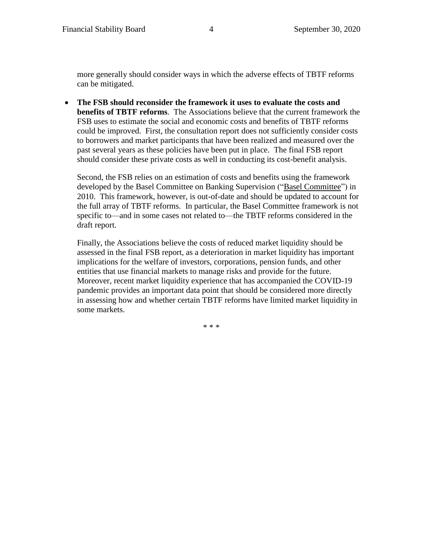more generally should consider ways in which the adverse effects of TBTF reforms can be mitigated.

 **The FSB should reconsider the framework it uses to evaluate the costs and benefits of TBTF reforms**. The Associations believe that the current framework the FSB uses to estimate the social and economic costs and benefits of TBTF reforms could be improved. First, the consultation report does not sufficiently consider costs to borrowers and market participants that have been realized and measured over the past several years as these policies have been put in place. The final FSB report should consider these private costs as well in conducting its cost-benefit analysis.

Second, the FSB relies on an estimation of costs and benefits using the framework developed by the Basel Committee on Banking Supervision ("Basel Committee") in 2010. This framework, however, is out-of-date and should be updated to account for the full array of TBTF reforms. In particular, the Basel Committee framework is not specific to—and in some cases not related to—the TBTF reforms considered in the draft report.

Finally, the Associations believe the costs of reduced market liquidity should be assessed in the final FSB report, as a deterioration in market liquidity has important implications for the welfare of investors, corporations, pension funds, and other entities that use financial markets to manage risks and provide for the future. Moreover, recent market liquidity experience that has accompanied the COVID-19 pandemic provides an important data point that should be considered more directly in assessing how and whether certain TBTF reforms have limited market liquidity in some markets.

\* \* \*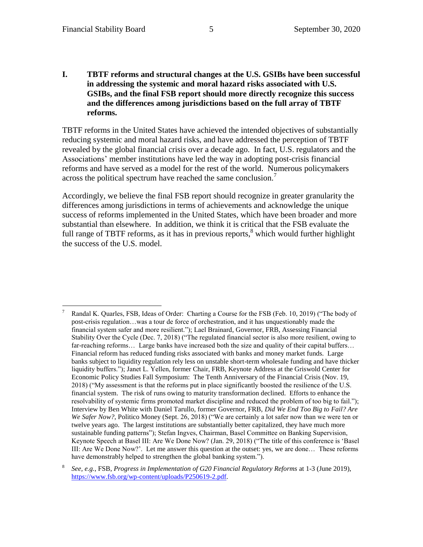**I. TBTF reforms and structural changes at the U.S. GSIBs have been successful in addressing the systemic and moral hazard risks associated with U.S. GSIBs, and the final FSB report should more directly recognize this success and the differences among jurisdictions based on the full array of TBTF reforms.**

TBTF reforms in the United States have achieved the intended objectives of substantially reducing systemic and moral hazard risks, and have addressed the perception of TBTF revealed by the global financial crisis over a decade ago. In fact, U.S. regulators and the Associations' member institutions have led the way in adopting post-crisis financial reforms and have served as a model for the rest of the world. Numerous policymakers across the political spectrum have reached the same conclusion.<sup>7</sup>

Accordingly, we believe the final FSB report should recognize in greater granularity the differences among jurisdictions in terms of achievements and acknowledge the unique success of reforms implemented in the United States, which have been broader and more substantial than elsewhere. In addition, we think it is critical that the FSB evaluate the full range of TBTF reforms, as it has in previous reports,  $\delta$  which would further highlight the success of the U.S. model.

 $\overline{a}$ <sup>7</sup> Randal K. Quarles, FSB, Ideas of Order: Charting a Course for the FSB (Feb. 10, 2019) ("The body of post-crisis regulation…was a tour de force of orchestration, and it has unquestionably made the financial system safer and more resilient."); Lael Brainard, Governor, FRB, Assessing Financial Stability Over the Cycle (Dec. 7, 2018) ("The regulated financial sector is also more resilient, owing to far-reaching reforms... Large banks have increased both the size and quality of their capital buffers... Financial reform has reduced funding risks associated with banks and money market funds. Large banks subject to liquidity regulation rely less on unstable short-term wholesale funding and have thicker liquidity buffers."); Janet L. Yellen, former Chair, FRB, Keynote Address at the Griswold Center for Economic Policy Studies Fall Symposium: The Tenth Anniversary of the Financial Crisis (Nov. 19, 2018) ("My assessment is that the reforms put in place significantly boosted the resilience of the U.S. financial system. The risk of runs owing to maturity transformation declined. Efforts to enhance the resolvability of systemic firms promoted market discipline and reduced the problem of too big to fail."); Interview by Ben White with Daniel Tarullo, former Governor, FRB, *Did We End Too Big to Fail? Are We Safer Now?*, Politico Money (Sept. 26, 2018) ("We are certainly a lot safer now than we were ten or twelve years ago. The largest institutions are substantially better capitalized, they have much more sustainable funding patterns"); Stefan Ingves, Chairman, Basel Committee on Banking Supervision, Keynote Speech at Basel III: Are We Done Now? (Jan. 29, 2018) ("The title of this conference is 'Basel III: Are We Done Now?'. Let me answer this question at the outset: yes, we are done… These reforms have demonstrably helped to strengthen the global banking system.").

<sup>8</sup> *See, e.g.*, FSB, *Progress in Implementation of G20 Financial Regulatory Reforms* at 1-3 (June 2019), https://www.fsb.org/wp-content/uploads/P250619-2.pdf.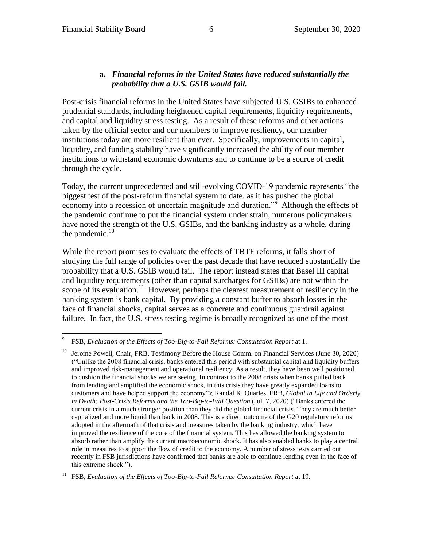### **a.** *Financial reforms in the United States have reduced substantially the probability that a U.S. GSIB would fail.*

Post-crisis financial reforms in the United States have subjected U.S. GSIBs to enhanced prudential standards, including heightened capital requirements, liquidity requirements, and capital and liquidity stress testing. As a result of these reforms and other actions taken by the official sector and our members to improve resiliency, our member institutions today are more resilient than ever. Specifically, improvements in capital, liquidity, and funding stability have significantly increased the ability of our member institutions to withstand economic downturns and to continue to be a source of credit through the cycle.

Today, the current unprecedented and still-evolving COVID-19 pandemic represents "the biggest test of the post-reform financial system to date, as it has pushed the global economy into a recession of uncertain magnitude and duration."<sup>5</sup> Although the effects of the pandemic continue to put the financial system under strain, numerous policymakers have noted the strength of the U.S. GSIBs, and the banking industry as a whole, during the pandemic. $10$ 

While the report promises to evaluate the effects of TBTF reforms, it falls short of studying the full range of policies over the past decade that have reduced substantially the probability that a U.S. GSIB would fail. The report instead states that Basel III capital and liquidity requirements (other than capital surcharges for GSIBs) are not within the scope of its evaluation.<sup>11</sup> However, perhaps the clearest measurement of resiliency in the banking system is bank capital. By providing a constant buffer to absorb losses in the face of financial shocks, capital serves as a concrete and continuous guardrail against failure. In fact, the U.S. stress testing regime is broadly recognized as one of the most

 $\overline{a}$ 9 FSB, *Evaluation of the Effects of Too-Big-to-Fail Reforms: Consultation Report* at 1.

<sup>10</sup> Jerome Powell, Chair, FRB, Testimony Before the House Comm. on Financial Services (June 30, 2020) ("Unlike the 2008 financial crisis, banks entered this period with substantial capital and liquidity buffers and improved risk-management and operational resiliency. As a result, they have been well positioned to cushion the financial shocks we are seeing. In contrast to the 2008 crisis when banks pulled back from lending and amplified the economic shock, in this crisis they have greatly expanded loans to customers and have helped support the economy"); Randal K. Quarles, FRB, *Global in Life and Orderly in Death: Post-Crisis Reforms and the Too-Big-to-Fail Question* (Jul. 7, 2020) ("Banks entered the current crisis in a much stronger position than they did the global financial crisis. They are much better capitalized and more liquid than back in 2008. This is a direct outcome of the G20 regulatory reforms adopted in the aftermath of that crisis and measures taken by the banking industry, which have improved the resilience of the core of the financial system. This has allowed the banking system to absorb rather than amplify the current macroeconomic shock. It has also enabled banks to play a central role in measures to support the flow of credit to the economy. A number of stress tests carried out recently in FSB jurisdictions have confirmed that banks are able to continue lending even in the face of this extreme shock.").

<sup>&</sup>lt;sup>11</sup> FSB, *Evaluation of the Effects of Too-Big-to-Fail Reforms: Consultation Report* at 19.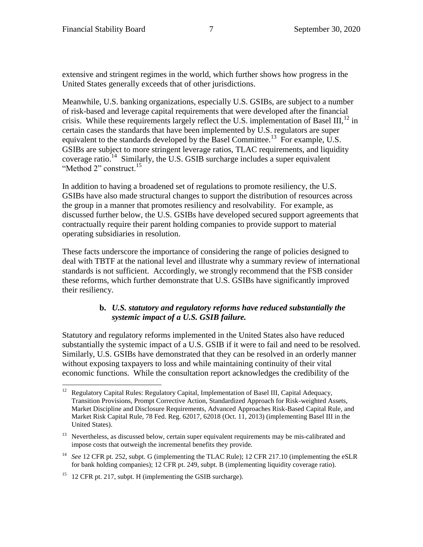extensive and stringent regimes in the world, which further shows how progress in the United States generally exceeds that of other jurisdictions.

Meanwhile, U.S. banking organizations, especially U.S. GSIBs, are subject to a number of risk-based and leverage capital requirements that were developed after the financial crisis. While these requirements largely reflect the U.S. implementation of Basel III,  $^{12}$  in certain cases the standards that have been implemented by U.S. regulators are super equivalent to the standards developed by the Basel Committee.<sup>13</sup> For example, U.S. GSIBs are subject to more stringent leverage ratios, TLAC requirements, and liquidity coverage ratio.<sup>14</sup> Similarly, the U.S. GSIB surcharge includes a super equivalent "Method 2" construct.<sup>15</sup>

In addition to having a broadened set of regulations to promote resiliency, the U.S. GSIBs have also made structural changes to support the distribution of resources across the group in a manner that promotes resiliency and resolvability. For example, as discussed further below, the U.S. GSIBs have developed secured support agreements that contractually require their parent holding companies to provide support to material operating subsidiaries in resolution.

These facts underscore the importance of considering the range of policies designed to deal with TBTF at the national level and illustrate why a summary review of international standards is not sufficient. Accordingly, we strongly recommend that the FSB consider these reforms, which further demonstrate that U.S. GSIBs have significantly improved their resiliency.

### **b.** *U.S. statutory and regulatory reforms have reduced substantially the systemic impact of a U.S. GSIB failure.*

Statutory and regulatory reforms implemented in the United States also have reduced substantially the systemic impact of a U.S. GSIB if it were to fail and need to be resolved. Similarly, U.S. GSIBs have demonstrated that they can be resolved in an orderly manner without exposing taxpayers to loss and while maintaining continuity of their vital economic functions. While the consultation report acknowledges the credibility of the

<sup>15</sup> 12 CFR pt. 217, subpt. H (implementing the GSIB surcharge).

 $12 \,$ <sup>12</sup> Regulatory Capital Rules: Regulatory Capital, Implementation of Basel III, Capital Adequacy, Transition Provisions, Prompt Corrective Action, Standardized Approach for Risk-weighted Assets, Market Discipline and Disclosure Requirements, Advanced Approaches Risk-Based Capital Rule, and Market Risk Capital Rule, 78 Fed. Reg. 62017, 62018 (Oct. 11, 2013) (implementing Basel III in the United States).

 $13$  Nevertheless, as discussed below, certain super equivalent requirements may be mis-calibrated and impose costs that outweigh the incremental benefits they provide.

<sup>&</sup>lt;sup>14</sup> *See* 12 CFR pt. 252, subpt. G (implementing the TLAC Rule); 12 CFR 217.10 (implementing the eSLR for bank holding companies); 12 CFR pt. 249, subpt. B (implementing liquidity coverage ratio).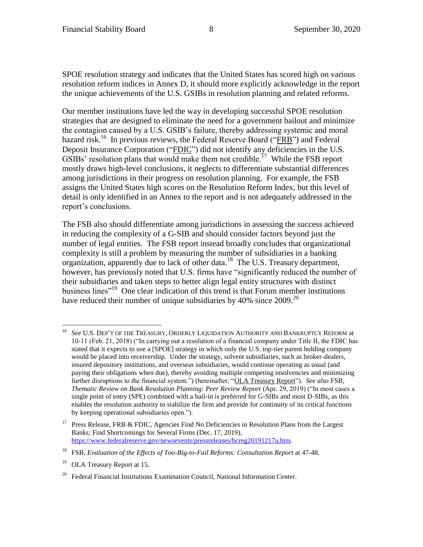SPOE resolution strategy and indicates that the United States has scored high on various resolution reform indices in Annex D, it should more explicitly acknowledge in the report the unique achievements of the U.S. GSIBs in resolution planning and related reforms.

Our member institutions have led the way in developing successful SPOE resolution strategies that are designed to eliminate the need for a government bailout and minimize the contagion caused by a U.S. GSIB's failure, thereby addressing systemic and moral hazard risk.<sup>16</sup> In previous reviews, the Federal Reserve Board ("FRB") and Federal Deposit Insurance Corporation ("FDIC") did not identify any deficiencies in the U.S. GSIBs' resolution plans that would make them not credible.<sup>17</sup> While the FSB report mostly draws high-level conclusions, it neglects to differentiate substantial differences among jurisdictions in their progress on resolution planning. For example, the FSB assigns the United States high scores on the Resolution Reform Index, but this level of detail is only identified in an Annex to the report and is not adequately addressed in the report's conclusions.

The FSB also should differentiate among jurisdictions in assessing the success achieved in reducing the complexity of a G-SIB and should consider factors beyond just the number of legal entities. The FSB report instead broadly concludes that organizational complexity is still a problem by measuring the number of subsidiaries in a banking organization, apparently due to lack of other data.<sup>18</sup> The U.S. Treasury department, however, has previously noted that U.S. firms have "significantly reduced the number of their subsidiaries and taken steps to better align legal entity structures with distinct business lines<sup>"19</sup> One clear indication of this trend is that Forum member institutions have reduced their number of unique subsidiaries by 40% since  $2009$ <sup>20</sup>

 $\overline{a}$ <sup>16</sup> *See* U.S. DEP'T OF THE TREASURY, ORDERLY LIQUIDATION AUTHORITY AND BANKRUPTCY REFORM at 10-11 (Feb. 21, 2018) ("In carrying out a resolution of a financial company under Title II, the FDIC has stated that it expects to use a [SPOE] strategy in which only the U.S. top-tier parent holding company would be placed into receivership. Under the strategy, solvent subsidiaries, such as broker-dealers, insured depository institutions, and overseas subsidiaries, would continue operating as usual (and paying their obligations when due), thereby avoiding multiple competing insolvencies and minimizing further disruptions to the financial system.") (hereinafter, "OLA Treasury Report"). *See also* FSB, *Thematic Review on Bank Resolution Planning: Peer Review Report* (Apr. 29, 2019) ("In most cases a single point of entry (SPE) combined with a bail-in is preferred for G-SIBs and most D-SIBs, as this enables the resolution authority to stabilize the firm and provide for continuity of its critical functions by keeping operational subsidiaries open.").

<sup>&</sup>lt;sup>17</sup> Press Release, FRB & FDIC, Agencies Find No Deficiencies in Resolution Plans from the Largest Banks; Find Shortcomings for Several Firms (Dec. 17, 2019), https://www.federalreserve.gov/newsevents/pressreleases/bcreg20191217a.htm.

<sup>&</sup>lt;sup>18</sup> FSB, *Evaluation of the Effects of Too-Big-to-Fail Reforms: Consultation Report* at 47-48.

<sup>&</sup>lt;sup>19</sup> OLA Treasury Report at 15.

<sup>&</sup>lt;sup>20</sup> Federal Financial Institutions Examination Council, National Information Center.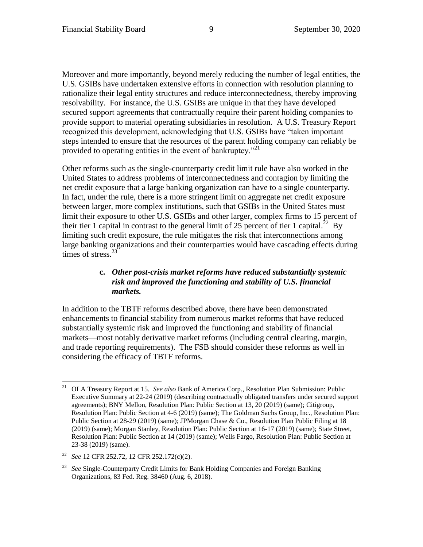Moreover and more importantly, beyond merely reducing the number of legal entities, the U.S. GSIBs have undertaken extensive efforts in connection with resolution planning to rationalize their legal entity structures and reduce interconnectedness, thereby improving resolvability. For instance, the U.S. GSIBs are unique in that they have developed secured support agreements that contractually require their parent holding companies to provide support to material operating subsidiaries in resolution. A U.S. Treasury Report recognized this development, acknowledging that U.S. GSIBs have "taken important steps intended to ensure that the resources of the parent holding company can reliably be provided to operating entities in the event of bankruptcy."<sup>21</sup>

Other reforms such as the single-counterparty credit limit rule have also worked in the United States to address problems of interconnectedness and contagion by limiting the net credit exposure that a large banking organization can have to a single counterparty. In fact, under the rule, there is a more stringent limit on aggregate net credit exposure between larger, more complex institutions, such that GSIBs in the United States must limit their exposure to other U.S. GSIBs and other larger, complex firms to 15 percent of their tier 1 capital in contrast to the general limit of 25 percent of tier 1 capital.<sup>22</sup> By limiting such credit exposure, the rule mitigates the risk that interconnections among large banking organizations and their counterparties would have cascading effects during times of stress.<sup>23</sup>

## **c.** *Other post-crisis market reforms have reduced substantially systemic risk and improved the functioning and stability of U.S. financial markets.*

In addition to the TBTF reforms described above, there have been demonstrated enhancements to financial stability from numerous market reforms that have reduced substantially systemic risk and improved the functioning and stability of financial markets—most notably derivative market reforms (including central clearing, margin, and trade reporting requirements). The FSB should consider these reforms as well in considering the efficacy of TBTF reforms.

<sup>21</sup> <sup>21</sup> OLA Treasury Report at 15. *See also* Bank of America Corp., Resolution Plan Submission: Public Executive Summary at 22-24 (2019) (describing contractually obligated transfers under secured support agreements); BNY Mellon, Resolution Plan: Public Section at 13, 20 (2019) (same); Citigroup, Resolution Plan: Public Section at 4-6 (2019) (same); The Goldman Sachs Group, Inc., Resolution Plan: Public Section at 28-29 (2019) (same); JPMorgan Chase & Co., Resolution Plan Public Filing at 18 (2019) (same); Morgan Stanley, Resolution Plan: Public Section at 16-17 (2019) (same); State Street, Resolution Plan: Public Section at 14 (2019) (same); Wells Fargo, Resolution Plan: Public Section at 23-38 (2019) (same).

<sup>22</sup> *See* 12 CFR 252.72, 12 CFR 252.172(c)(2).

<sup>23</sup> *See* Single-Counterparty Credit Limits for Bank Holding Companies and Foreign Banking Organizations, 83 Fed. Reg. 38460 (Aug. 6, 2018).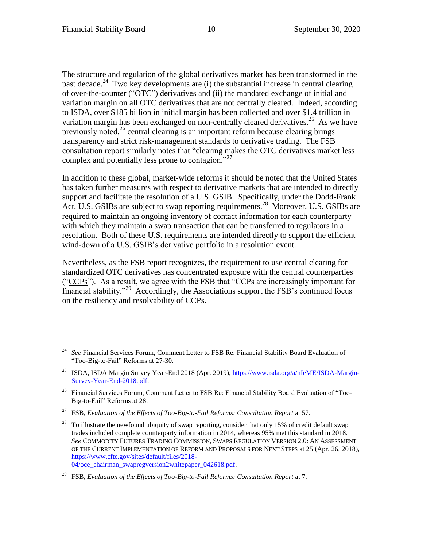The structure and regulation of the global derivatives market has been transformed in the past decade.<sup>24</sup> Two key developments are (i) the substantial increase in central clearing of over-the-counter ("OTC") derivatives and (ii) the mandated exchange of initial and variation margin on all OTC derivatives that are not centrally cleared. Indeed, according to ISDA, over \$185 billion in initial margin has been collected and over \$1.4 trillion in variation margin has been exchanged on non-centrally cleared derivatives.<sup>25</sup> As we have previously noted, $^{26}$  central clearing is an important reform because clearing brings transparency and strict risk-management standards to derivative trading. The FSB consultation report similarly notes that "clearing makes the OTC derivatives market less complex and potentially less prone to contagion."<sup>27</sup>

In addition to these global, market-wide reforms it should be noted that the United States has taken further measures with respect to derivative markets that are intended to directly support and facilitate the resolution of a U.S. GSIB. Specifically, under the Dodd-Frank Act, U.S. GSIBs are subject to swap reporting requirements.<sup>28</sup> Moreover, U.S. GSIBs are required to maintain an ongoing inventory of contact information for each counterparty with which they maintain a swap transaction that can be transferred to regulators in a resolution. Both of these U.S. requirements are intended directly to support the efficient wind-down of a U.S. GSIB's derivative portfolio in a resolution event.

Nevertheless, as the FSB report recognizes, the requirement to use central clearing for standardized OTC derivatives has concentrated exposure with the central counterparties ("CCPs"). As a result, we agree with the FSB that "CCPs are increasingly important for financial stability."<sup>29</sup> Accordingly, the Associations support the FSB's continued focus on the resiliency and resolvability of CCPs.

 $\overline{a}$ <sup>24</sup> *See* Financial Services Forum, Comment Letter to FSB Re: Financial Stability Board Evaluation of "Too-Big-to-Fail" Reforms at 27-30.

<sup>&</sup>lt;sup>25</sup> ISDA, ISDA Margin Survey Year-End 2018 (Apr. 2019), https://www.isda.org/a/nIeME/ISDA-Margin-Survey-Year-End-2018.pdf.

<sup>&</sup>lt;sup>26</sup> Financial Services Forum, Comment Letter to FSB Re: Financial Stability Board Evaluation of "Too-Big-to-Fail" Reforms at 28.

<sup>27</sup> FSB, *Evaluation of the Effects of Too-Big-to-Fail Reforms: Consultation Report* at 57.

<sup>&</sup>lt;sup>28</sup> To illustrate the newfound ubiquity of swap reporting, consider that only 15% of credit default swap trades included complete counterparty information in 2014, whereas 95% met this standard in 2018. *See* COMMODITY FUTURES TRADING COMMISSION, SWAPS REGULATION VERSION 2.0: AN ASSESSMENT OF THE CURRENT IMPLEMENTATION OF REFORM AND PROPOSALS FOR NEXT STEPS at 25 (Apr. 26, 2018), https://www.cftc.gov/sites/default/files/2018- 04/oce\_chairman\_swapregversion2whitepaper\_042618.pdf.

<sup>29</sup> FSB, *Evaluation of the Effects of Too-Big-to-Fail Reforms: Consultation Report* at 7.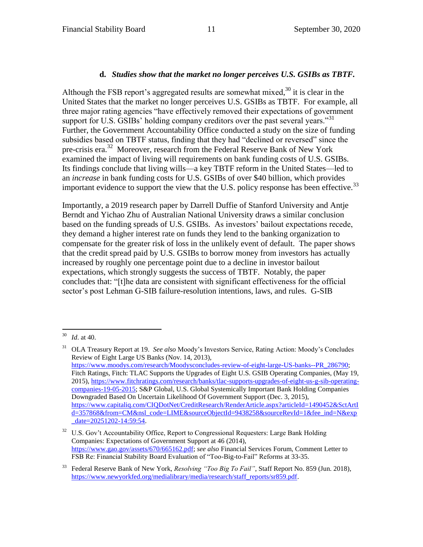## **d.** *Studies show that the market no longer perceives U.S. GSIBs as TBTF.*

Although the FSB report's aggregated results are somewhat mixed, $30$  it is clear in the United States that the market no longer perceives U.S. GSIBs as TBTF. For example, all three major rating agencies "have effectively removed their expectations of government support for U.S. GSIBs' holding company creditors over the past several years."<sup>31</sup> Further, the Government Accountability Office conducted a study on the size of funding subsidies based on TBTF status, finding that they had "declined or reversed" since the pre-crisis era.<sup>32</sup> Moreover, research from the Federal Reserve Bank of New York examined the impact of living will requirements on bank funding costs of U.S. GSIBs. Its findings conclude that living wills—a key TBTF reform in the United States—led to an *increase* in bank funding costs for U.S. GSIBs of over \$40 billion, which provides important evidence to support the view that the U.S. policy response has been effective.<sup>33</sup>

Importantly, a 2019 research paper by Darrell Duffie of Stanford University and Antje Berndt and Yichao Zhu of Australian National University draws a similar conclusion based on the funding spreads of U.S. GSIBs. As investors' bailout expectations recede, they demand a higher interest rate on funds they lend to the banking organization to compensate for the greater risk of loss in the unlikely event of default. The paper shows that the credit spread paid by U.S. GSIBs to borrow money from investors has actually increased by roughly one percentage point due to a decline in investor bailout expectations, which strongly suggests the success of TBTF. Notably, the paper concludes that: "[t]he data are consistent with significant effectiveness for the official sector's post Lehman G-SIB failure-resolution intentions, laws, and rules. G-SIB

<sup>30</sup> *Id.* at 40.

<sup>31</sup> OLA Treasury Report at 19. *See also* Moody's Investors Service, Rating Action: Moody's Concludes Review of Eight Large US Banks (Nov. 14, 2013), https://www.moodys.com/research/Moodysconcludes-review-of-eight-large-US-banks--PR\_286790; Fitch Ratings, Fitch: TLAC Supports the Upgrades of Eight U.S. GSIB Operating Companies, (May 19, 2015), https://www.fitchratings.com/research/banks/tlac-supports-upgrades-of-eight-us-g-sib-operatingcompanies-19-05-2015; S&P Global, U.S. Global Systemically Important Bank Holding Companies Downgraded Based On Uncertain Likelihood Of Government Support (Dec. 3, 2015), https://www.capitaliq.com/CIQDotNet/CreditResearch/RenderArticle.aspx?articleId=1490452&SctArtI d=357868&from=CM&nsl\_code=LIME&sourceObjectId=9438258&sourceRevId=1&fee\_ind=N&exp \_date=20251202-14:59:54.

<sup>&</sup>lt;sup>32</sup> U.S. Gov't Accountability Office, Report to Congressional Requesters: Large Bank Holding Companies: Expectations of Government Support at 46 (2014), https://www.gao.gov/assets/670/665162.pdf; *see also* Financial Services Forum, Comment Letter to FSB Re: Financial Stability Board Evaluation of "Too-Big-to-Fail" Reforms at 33-35.

<sup>33</sup> Federal Reserve Bank of New York, *Resolving "Too Big To Fail"*, Staff Report No. 859 (Jun. 2018), https://www.newyorkfed.org/medialibrary/media/research/staff\_reports/sr859.pdf.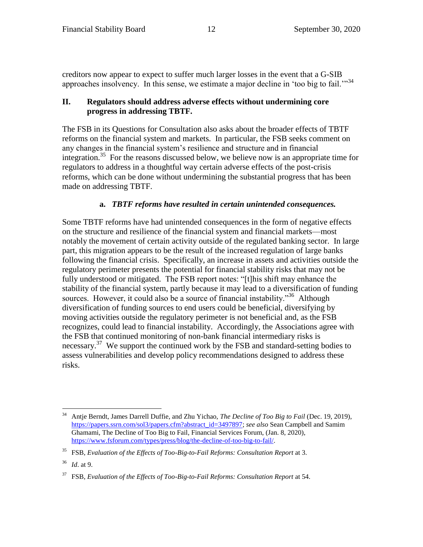creditors now appear to expect to suffer much larger losses in the event that a G-SIB approaches insolvency. In this sense, we estimate a major decline in 'too big to fail."<sup>34</sup>

#### **II. Regulators should address adverse effects without undermining core progress in addressing TBTF.**

The FSB in its Questions for Consultation also asks about the broader effects of TBTF reforms on the financial system and markets. In particular, the FSB seeks comment on any changes in the financial system's resilience and structure and in financial integration.<sup>35</sup> For the reasons discussed below, we believe now is an appropriate time for regulators to address in a thoughtful way certain adverse effects of the post-crisis reforms, which can be done without undermining the substantial progress that has been made on addressing TBTF.

## **a.** *TBTF reforms have resulted in certain unintended consequences.*

Some TBTF reforms have had unintended consequences in the form of negative effects on the structure and resilience of the financial system and financial markets—most notably the movement of certain activity outside of the regulated banking sector. In large part, this migration appears to be the result of the increased regulation of large banks following the financial crisis. Specifically, an increase in assets and activities outside the regulatory perimeter presents the potential for financial stability risks that may not be fully understood or mitigated. The FSB report notes: "[t]his shift may enhance the stability of the financial system, partly because it may lead to a diversification of funding sources. However, it could also be a source of financial instability."<sup>36</sup> Although diversification of funding sources to end users could be beneficial, diversifying by moving activities outside the regulatory perimeter is not beneficial and, as the FSB recognizes, could lead to financial instability. Accordingly, the Associations agree with the FSB that continued monitoring of non-bank financial intermediary risks is necessary.<sup>37</sup> We support the continued work by the FSB and standard-setting bodies to assess vulnerabilities and develop policy recommendations designed to address these risks.

<sup>34</sup> <sup>34</sup> Antje Berndt, James Darrell Duffie, and Zhu Yichao, *The Decline of Too Big to Fail* (Dec. 19, 2019), https://papers.ssrn.com/sol3/papers.cfm?abstract\_id=3497897; *see also* Sean Campbell and Samim Ghamami, The Decline of Too Big to Fail, Financial Services Forum, (Jan. 8, 2020), https://www.fsforum.com/types/press/blog/the-decline-of-too-big-to-fail/.

<sup>35</sup> FSB, *Evaluation of the Effects of Too-Big-to-Fail Reforms: Consultation Report* at 3.

<sup>36</sup> *Id*. at 9.

<sup>37</sup> FSB, *Evaluation of the Effects of Too-Big-to-Fail Reforms: Consultation Report* at 54.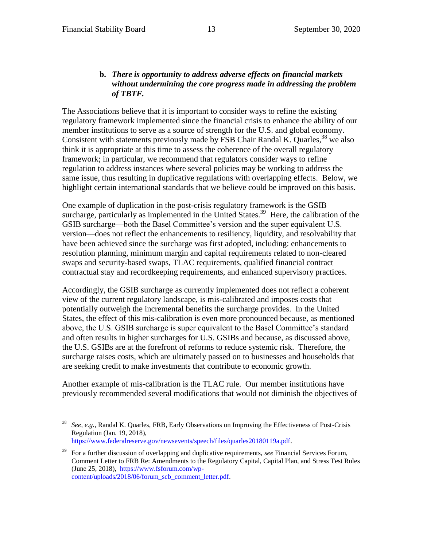$\overline{a}$ 

### **b.** *There is opportunity to address adverse effects on financial markets without undermining the core progress made in addressing the problem of TBTF.*

The Associations believe that it is important to consider ways to refine the existing regulatory framework implemented since the financial crisis to enhance the ability of our member institutions to serve as a source of strength for the U.S. and global economy. Consistent with statements previously made by FSB Chair Randal K. Quarles,  $38$  we also think it is appropriate at this time to assess the coherence of the overall regulatory framework; in particular, we recommend that regulators consider ways to refine regulation to address instances where several policies may be working to address the same issue, thus resulting in duplicative regulations with overlapping effects. Below, we highlight certain international standards that we believe could be improved on this basis.

One example of duplication in the post-crisis regulatory framework is the GSIB surcharge, particularly as implemented in the United States.<sup>39</sup> Here, the calibration of the GSIB surcharge—both the Basel Committee's version and the super equivalent U.S. version—does not reflect the enhancements to resiliency, liquidity, and resolvability that have been achieved since the surcharge was first adopted, including: enhancements to resolution planning, minimum margin and capital requirements related to non-cleared swaps and security-based swaps, TLAC requirements, qualified financial contract contractual stay and recordkeeping requirements, and enhanced supervisory practices.

Accordingly, the GSIB surcharge as currently implemented does not reflect a coherent view of the current regulatory landscape, is mis-calibrated and imposes costs that potentially outweigh the incremental benefits the surcharge provides. In the United States, the effect of this mis-calibration is even more pronounced because, as mentioned above, the U.S. GSIB surcharge is super equivalent to the Basel Committee's standard and often results in higher surcharges for U.S. GSIBs and because, as discussed above, the U.S. GSIBs are at the forefront of reforms to reduce systemic risk. Therefore, the surcharge raises costs, which are ultimately passed on to businesses and households that are seeking credit to make investments that contribute to economic growth.

Another example of mis-calibration is the TLAC rule. Our member institutions have previously recommended several modifications that would not diminish the objectives of

<sup>38</sup> *See, e.g.*, Randal K. Quarles, FRB, Early Observations on Improving the Effectiveness of Post-Crisis Regulation (Jan. 19, 2018), https://www.federalreserve.gov/newsevents/speech/files/quarles20180119a.pdf.

<sup>39</sup> For a further discussion of overlapping and duplicative requirements, *see* Financial Services Forum, Comment Letter to FRB Re: Amendments to the Regulatory Capital, Capital Plan, and Stress Test Rules (June 25, 2018), https://www.fsforum.com/wpcontent/uploads/2018/06/forum\_scb\_comment\_letter.pdf.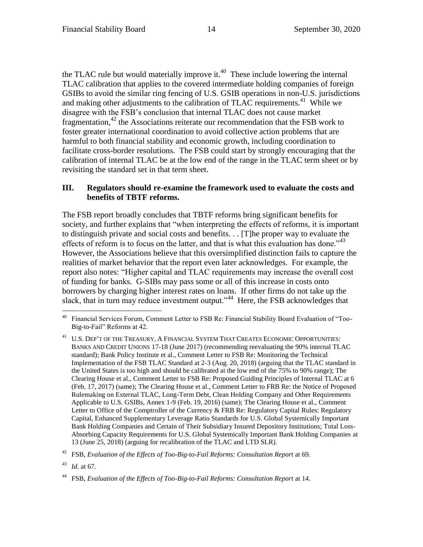the TLAC rule but would materially improve it.<sup>40</sup> These include lowering the internal TLAC calibration that applies to the covered intermediate holding companies of foreign GSIBs to avoid the similar ring fencing of U.S. GSIB operations in non-U.S. jurisdictions and making other adjustments to the calibration of TLAC requirements.<sup>41</sup> While we disagree with the FSB's conclusion that internal TLAC does not cause market fragmentation,<sup>42</sup> the Associations reiterate our recommendation that the FSB work to foster greater international coordination to avoid collective action problems that are harmful to both financial stability and economic growth, including coordination to facilitate cross-border resolutions. The FSB could start by strongly encouraging that the calibration of internal TLAC be at the low end of the range in the TLAC term sheet or by revisiting the standard set in that term sheet.

### **III. Regulators should re-examine the framework used to evaluate the costs and benefits of TBTF reforms.**

The FSB report broadly concludes that TBTF reforms bring significant benefits for society, and further explains that "when interpreting the effects of reforms, it is important to distinguish private and social costs and benefits. . . [T]he proper way to evaluate the effects of reform is to focus on the latter, and that is what this evaluation has done."<sup>43</sup> However, the Associations believe that this oversimplified distinction fails to capture the realities of market behavior that the report even later acknowledges. For example, the report also notes: "Higher capital and TLAC requirements may increase the overall cost of funding for banks. G-SIBs may pass some or all of this increase in costs onto borrowers by charging higher interest rates on loans. If other firms do not take up the slack, that in turn may reduce investment output."<sup>44</sup> Here, the FSB acknowledges that

<sup>43</sup> *Id*. at 67.

 $\overline{a}$ 

<sup>40</sup> Financial Services Forum, Comment Letter to FSB Re: Financial Stability Board Evaluation of "Too-Big-to-Fail" Reforms at 42.

 $^{41}\;$  U.S. DEP'T OF THE TREASURY, A FINANCIAL SYSTEM THAT CREATES ECONOMIC OPPORTUNITIES: BANKS AND CREDIT UNIONS 17-18 (June 2017) (recommending reevaluating the 90% internal TLAC standard); Bank Policy Institute et al., Comment Letter to FSB Re: Monitoring the Technical Implementation of the FSB TLAC Standard at 2-3 (Aug. 20, 2018) (arguing that the TLAC standard in the United States is too high and should be calibrated at the low end of the 75% to 90% range); The Clearing House et al., Comment Letter to FSB Re: Proposed Guiding Principles of Internal TLAC at 6 (Feb. 17, 2017) (same); The Clearing House et al., Comment Letter to FRB Re: the Notice of Proposed Rulemaking on External TLAC, Long-Term Debt, Clean Holding Company and Other Requirements Applicable to U.S. GSIBs, Annex 1-9 (Feb. 19, 2016) (same); The Clearing House et al., Comment Letter to Office of the Comptroller of the Currency & FRB Re: Regulatory Capital Rules: Regulatory Capital, Enhanced Supplementary Leverage Ratio Standards for U.S. Global Systemically Important Bank Holding Companies and Certain of Their Subsidiary Insured Depository Institutions; Total Loss-Absorbing Capacity Requirements for U.S. Global Systemically Important Bank Holding Companies at 13 (June 25, 2018) (arguing for recalibration of the TLAC and LTD SLR).

<sup>42</sup> FSB, *Evaluation of the Effects of Too-Big-to-Fail Reforms: Consultation Report* at 69.

<sup>44</sup> FSB, *Evaluation of the Effects of Too-Big-to-Fail Reforms: Consultation Report* at 14.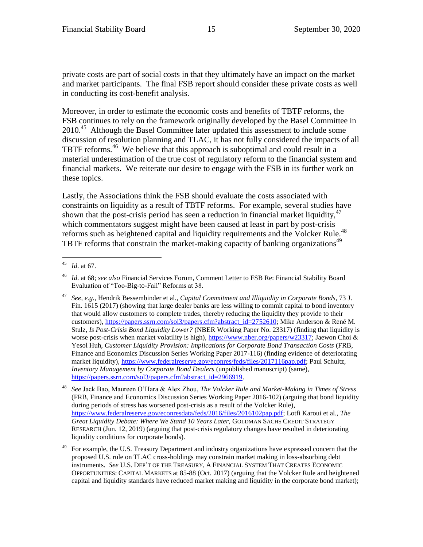private costs are part of social costs in that they ultimately have an impact on the market and market participants. The final FSB report should consider these private costs as well in conducting its cost-benefit analysis.

Moreover, in order to estimate the economic costs and benefits of TBTF reforms, the FSB continues to rely on the framework originally developed by the Basel Committee in 2010.<sup>45</sup> Although the Basel Committee later updated this assessment to include some discussion of resolution planning and TLAC, it has not fully considered the impacts of all TBTF reforms.<sup>46</sup> We believe that this approach is suboptimal and could result in a material underestimation of the true cost of regulatory reform to the financial system and financial markets. We reiterate our desire to engage with the FSB in its further work on these topics.

Lastly, the Associations think the FSB should evaluate the costs associated with constraints on liquidity as a result of TBTF reforms. For example, several studies have shown that the post-crisis period has seen a reduction in financial market liquidity,  $47$ which commentators suggest might have been caused at least in part by post-crisis reforms such as heightened capital and liquidity requirements and the Volcker Rule.<sup>48</sup> TBTF reforms that constrain the market-making capacity of banking organizations<sup>49</sup>

 $45$ *Id.* at 67.

<sup>46</sup> *Id*. at 68; *see also* Financial Services Forum, Comment Letter to FSB Re: Financial Stability Board Evaluation of "Too-Big-to-Fail" Reforms at 38.

<sup>47</sup> *See, e.g.*, Hendrik Bessembinder et al., *Capital Commitment and Illiquidity in Corporate Bonds*, 73 J. Fin. 1615 (2017) (showing that large dealer banks are less willing to commit capital to bond inventory that would allow customers to complete trades, thereby reducing the liquidity they provide to their customers), https://papers.ssrn.com/sol3/papers.cfm?abstract\_id=2752610; Mike Anderson & René M. Stulz, *Is Post-Crisis Bond Liquidity Lower?* (NBER Working Paper No. 23317) (finding that liquidity is worse post-crisis when market volatility is high), https://www.nber.org/papers/w23317; Jaewon Choi & Yesol Huh, *Customer Liquidity Provision: Implications for Corporate Bond Transaction Costs* (FRB, Finance and Economics Discussion Series Working Paper 2017-116) (finding evidence of deteriorating market liquidity), https://www.federalreserve.gov/econres/feds/files/2017116pap.pdf; Paul Schultz, *Inventory Management by Corporate Bond Dealers* (unpublished manuscript) (same), https://papers.ssrn.com/sol3/papers.cfm?abstract\_id=2966919.

<sup>48</sup> *See* Jack Bao, Maureen O'Hara & Alex Zhou, *The Volcker Rule and Market-Making in Times of Stress* (FRB, Finance and Economics Discussion Series Working Paper 2016-102) (arguing that bond liquidity during periods of stress has worsened post-crisis as a result of the Volcker Rule), https://www.federalreserve.gov/econresdata/feds/2016/files/2016102pap.pdf; Lotfi Karoui et al., *The Great Liquidity Debate: Where We Stand 10 Years Later,* GOLDMAN SACHS CREDIT STRATEGY RESEARCH (Jun. 12, 2019) (arguing that post-crisis regulatory changes have resulted in deteriorating liquidity conditions for corporate bonds).

<sup>49</sup> For example, the U.S. Treasury Department and industry organizations have expressed concern that the proposed U.S. rule on TLAC cross-holdings may constrain market making in loss-absorbing debt instruments. *See* U.S. DEP'T OF THE TREASURY, A FINANCIAL SYSTEM THAT CREATES ECONOMIC OPPORTUNITIES: CAPITAL MARKETS at 85-88 (Oct. 2017) (arguing that the Volcker Rule and heightened capital and liquidity standards have reduced market making and liquidity in the corporate bond market);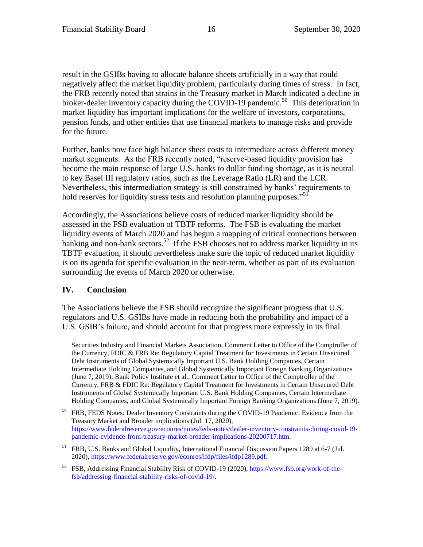result in the GSIBs having to allocate balance sheets artificially in a way that could negatively affect the market liquidity problem, particularly during times of stress. In fact, the FRB recently noted that strains in the Treasury market in March indicated a decline in broker-dealer inventory capacity during the COVID-19 pandemic.<sup>50</sup> This deterioration in market liquidity has important implications for the welfare of investors, corporations, pension funds, and other entities that use financial markets to manage risks and provide for the future.

Further, banks now face high balance sheet costs to intermediate across different money market segments. As the FRB recently noted, "reserve-based liquidity provision has become the main response of large U.S. banks to dollar funding shortage, as it is neutral to key Basel III regulatory ratios, such as the Leverage Ratio (LR) and the LCR. Nevertheless, this intermediation strategy is still constrained by banks' requirements to hold reserves for liquidity stress tests and resolution planning purposes."<sup>51</sup>

Accordingly, the Associations believe costs of reduced market liquidity should be assessed in the FSB evaluation of TBTF reforms. The FSB is evaluating the market liquidity events of March 2020 and has begun a mapping of critical connections between banking and non-bank sectors.<sup>52</sup> If the FSB chooses not to address market liquidity in its TBTF evaluation, it should nevertheless make sure the topic of reduced market liquidity is on its agenda for specific evaluation in the near-term, whether as part of its evaluation surrounding the events of March 2020 or otherwise.

# **IV. Conclusion**

 $\overline{a}$ 

The Associations believe the FSB should recognize the significant progress that U.S. regulators and U.S. GSIBs have made in reducing both the probability and impact of a U.S. GSIB's failure, and should account for that progress more expressly in its final

Securities Industry and Financial Markets Association, Comment Letter to Office of the Comptroller of the Currency, FDIC & FRB Re: Regulatory Capital Treatment for Investments in Certain Unsecured Debt Instruments of Global Systemically Important U.S. Bank Holding Companies, Certain Intermediate Holding Companies, and Global Systemically Important Foreign Banking Organizations (June 7, 2019); Bank Policy Institute et al., Comment Letter to Office of the Comptroller of the Currency, FRB & FDIC Re: Regulatory Capital Treatment for Investments in Certain Unsecured Debt Instruments of Global Systemically Important U.S. Bank Holding Companies, Certain Intermediate Holding Companies, and Global Systemically Important Foreign Banking Organizations (June 7, 2019).

<sup>50</sup> FRB, FEDS Notes: Dealer Inventory Constraints during the COVID-19 Pandemic: Evidence from the Treasury Market and Broader implications (Jul. 17, 2020), https://www.federalreserve.gov/econres/notes/feds-notes/dealer-inventory-constraints-during-covid-19 pandemic-evidence-from-treasury-market-broader-implications-20200717.htm.

<sup>51</sup> FRB, U.S. Banks and Global Liquidity, International Financial Discussion Papers 1289 at 6-7 (Jul. 2020), https://www.federalreserve.gov/econres/ifdp/files/ifdp1289.pdf.

<sup>52</sup> FSB, Addressing Financial Stability Risk of COVID-19 (2020), https://www.fsb.org/work-of-thefsb/addressing-financial-stability-risks-of-covid-19/.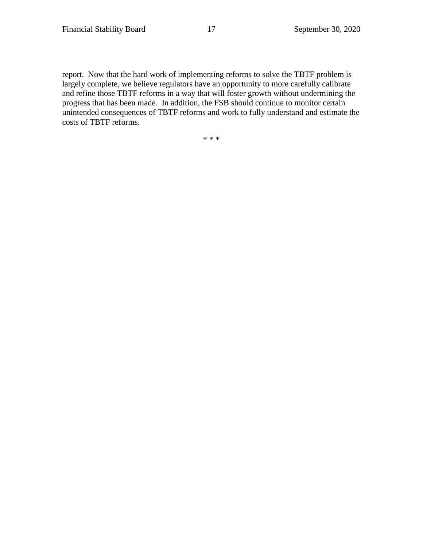report. Now that the hard work of implementing reforms to solve the TBTF problem is largely complete, we believe regulators have an opportunity to more carefully calibrate and refine those TBTF reforms in a way that will foster growth without undermining the progress that has been made. In addition, the FSB should continue to monitor certain unintended consequences of TBTF reforms and work to fully understand and estimate the costs of TBTF reforms.

\* \* \*